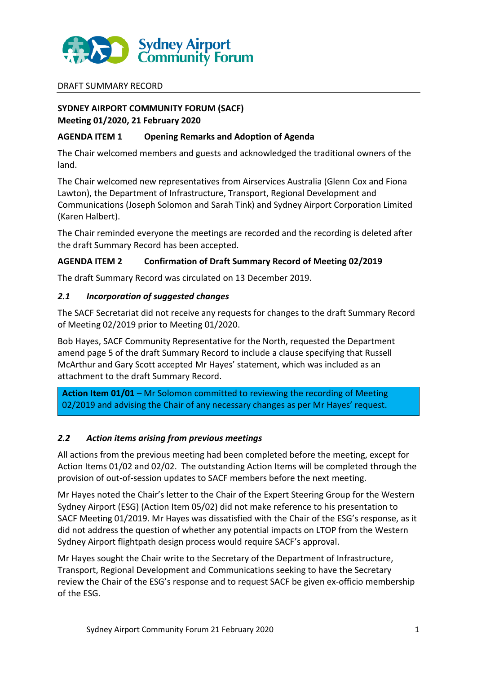

#### DRAFT SUMMARY RECORD

# **SYDNEY AIRPORT COMMUNITY FORUM (SACF) Meeting 01/2020, 21 February 2020**

#### **AGENDA ITEM 1 Opening Remarks and Adoption of Agenda**

The Chair welcomed members and guests and acknowledged the traditional owners of the land.

The Chair welcomed new representatives from Airservices Australia (Glenn Cox and Fiona Lawton), the Department of Infrastructure, Transport, Regional Development and Communications (Joseph Solomon and Sarah Tink) and Sydney Airport Corporation Limited (Karen Halbert).

The Chair reminded everyone the meetings are recorded and the recording is deleted after the draft Summary Record has been accepted.

#### **AGENDA ITEM 2 Confirmation of Draft Summary Record of Meeting 02/2019**

The draft Summary Record was circulated on 13 December 2019.

#### *2.1 Incorporation of suggested changes*

The SACF Secretariat did not receive any requests for changes to the draft Summary Record of Meeting 02/2019 prior to Meeting 01/2020.

Bob Hayes, SACF Community Representative for the North, requested the Department amend page 5 of the draft Summary Record to include a clause specifying that Russell McArthur and Gary Scott accepted Mr Hayes' statement, which was included as an attachment to the draft Summary Record.

**Action Item 01/01** – Mr Solomon committed to reviewing the recording of Meeting 02/2019 and advising the Chair of any necessary changes as per Mr Hayes' request.

# *2.2 Action items arising from previous meetings*

All actions from the previous meeting had been completed before the meeting, except for Action Items 01/02 and 02/02. The outstanding Action Items will be completed through the provision of out-of-session updates to SACF members before the next meeting.

Mr Hayes noted the Chair's letter to the Chair of the Expert Steering Group for the Western Sydney Airport (ESG) (Action Item 05/02) did not make reference to his presentation to SACF Meeting 01/2019. Mr Hayes was dissatisfied with the Chair of the ESG's response, as it did not address the question of whether any potential impacts on LTOP from the Western Sydney Airport flightpath design process would require SACF's approval.

Mr Hayes sought the Chair write to the Secretary of the Department of Infrastructure, Transport, Regional Development and Communications seeking to have the Secretary review the Chair of the ESG's response and to request SACF be given ex-officio membership of the ESG.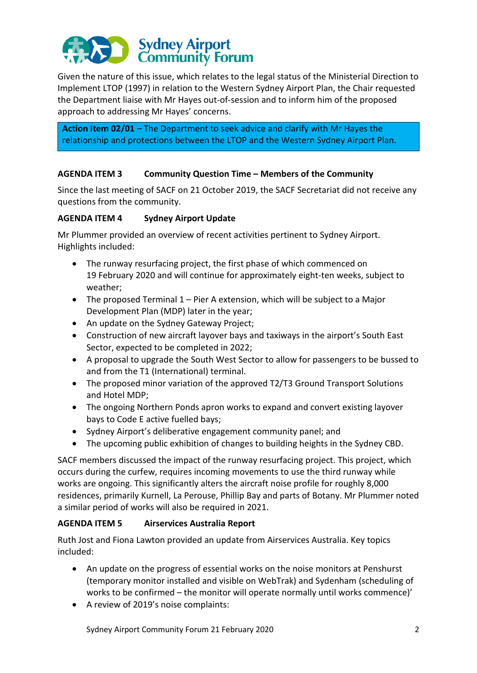

Given the nature of this issue, which relates to the legal status of the Ministerial Direction to Implement LTOP (1997) in relation to the Western Sydney Airport Plan, the Chair requested the Department liaise with Mr Hayes out-of-session and to inform him of the proposed approach to addressing Mr Hayes' concerns.

**Action Item 02/01** – The Department to seek advice and clarify with Mr Hayes the relationship and protections between the LTOP and the Western Sydney Airport Plan.

# **AGENDA ITEM 3 Community Question Time – Members of the Community**

Since the last meeting of SACF on 21 October 2019, the SACF Secretariat did not receive any questions from the community.

#### **AGENDA ITEM 4 Sydney Airport Update**

Mr Plummer provided an overview of recent activities pertinent to Sydney Airport. Highlights included:

- The runway resurfacing project, the first phase of which commenced on 19 February 2020 and will continue for approximately eight-ten weeks, subject to weather;
- The proposed Terminal 1 Pier A extension, which will be subject to a Major Development Plan (MDP) later in the year;
- An update on the Sydney Gateway Project;
- Construction of new aircraft layover bays and taxiways in the airport's South East Sector, expected to be completed in 2022;
- A proposal to upgrade the South West Sector to allow for passengers to be bussed to and from the T1 (International) terminal.
- The proposed minor variation of the approved T2/T3 Ground Transport Solutions and Hotel MDP;
- The ongoing Northern Ponds apron works to expand and convert existing layover bays to Code E active fuelled bays;
- Sydney Airport's deliberative engagement community panel; and
- The upcoming public exhibition of changes to building heights in the Sydney CBD.

SACF members discussed the impact of the runway resurfacing project. This project, which occurs during the curfew, requires incoming movements to use the third runway while works are ongoing. This significantly alters the aircraft noise profile for roughly 8,000 residences, primarily Kurnell, La Perouse, Phillip Bay and parts of Botany. Mr Plummer noted a similar period of works will also be required in 2021.

# **AGENDA ITEM 5 Airservices Australia Report**

Ruth Jost and Fiona Lawton provided an update from Airservices Australia. Key topics included:

- An update on the progress of essential works on the noise monitors at Penshurst (temporary monitor installed and visible on WebTrak) and Sydenham (scheduling of works to be confirmed – the monitor will operate normally until works commence)'
- A review of 2019's noise complaints: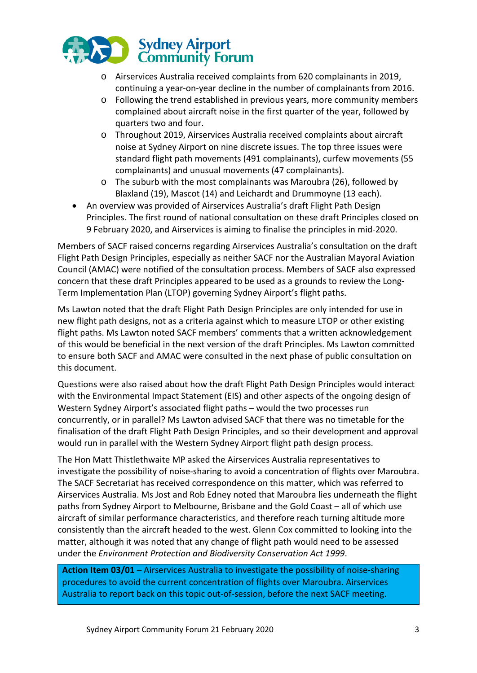

- o Airservices Australia received complaints from 620 complainants in 2019, continuing a year-on-year decline in the number of complainants from 2016.
- o Following the trend established in previous years, more community members complained about aircraft noise in the first quarter of the year, followed by quarters two and four.
- o Throughout 2019, Airservices Australia received complaints about aircraft noise at Sydney Airport on nine discrete issues. The top three issues were standard flight path movements (491 complainants), curfew movements (55 complainants) and unusual movements (47 complainants).
- o The suburb with the most complainants was Maroubra (26), followed by Blaxland (19), Mascot (14) and Leichardt and Drummoyne (13 each).
- An overview was provided of Airservices Australia's draft Flight Path Design Principles. The first round of national consultation on these draft Principles closed on 9 February 2020, and Airservices is aiming to finalise the principles in mid-2020.

Members of SACF raised concerns regarding Airservices Australia's consultation on the draft Flight Path Design Principles, especially as neither SACF nor the Australian Mayoral Aviation Council (AMAC) were notified of the consultation process. Members of SACF also expressed concern that these draft Principles appeared to be used as a grounds to review the Long-Term Implementation Plan (LTOP) governing Sydney Airport's flight paths.

Ms Lawton noted that the draft Flight Path Design Principles are only intended for use in new flight path designs, not as a criteria against which to measure LTOP or other existing flight paths. Ms Lawton noted SACF members' comments that a written acknowledgement of this would be beneficial in the next version of the draft Principles. Ms Lawton committed to ensure both SACF and AMAC were consulted in the next phase of public consultation on this document.

Questions were also raised about how the draft Flight Path Design Principles would interact with the Environmental Impact Statement (EIS) and other aspects of the ongoing design of Western Sydney Airport's associated flight paths – would the two processes run concurrently, or in parallel? Ms Lawton advised SACF that there was no timetable for the finalisation of the draft Flight Path Design Principles, and so their development and approval would run in parallel with the Western Sydney Airport flight path design process.

The Hon Matt Thistlethwaite MP asked the Airservices Australia representatives to investigate the possibility of noise-sharing to avoid a concentration of flights over Maroubra. The SACF Secretariat has received correspondence on this matter, which was referred to Airservices Australia. Ms Jost and Rob Edney noted that Maroubra lies underneath the flight paths from Sydney Airport to Melbourne, Brisbane and the Gold Coast – all of which use aircraft of similar performance characteristics, and therefore reach turning altitude more consistently than the aircraft headed to the west. Glenn Cox committed to looking into the matter, although it was noted that any change of flight path would need to be assessed under the *Environment Protection and Biodiversity Conservation Act 1999*.

**Action Item 03/01** – Airservices Australia to investigate the possibility of noise-sharing procedures to avoid the current concentration of flights over Maroubra. Airservices Australia to report back on this topic out-of-session, before the next SACF meeting.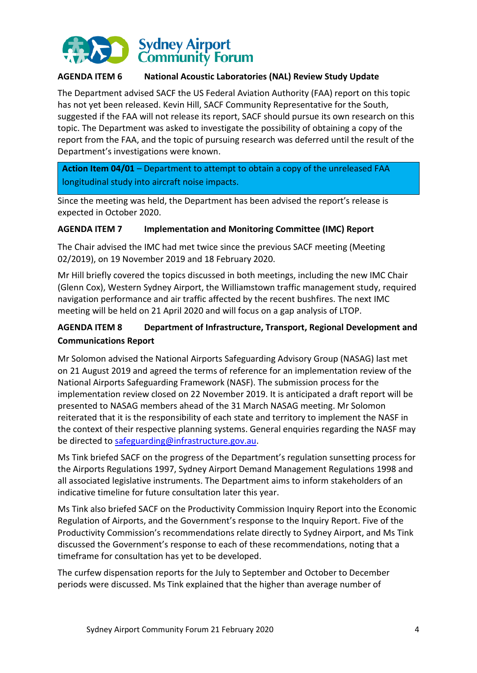

# **AGENDA ITEM 6 National Acoustic Laboratories (NAL) Review Study Update**

The Department advised SACF the US Federal Aviation Authority (FAA) report on this topic has not yet been released. Kevin Hill, SACF Community Representative for the South, suggested if the FAA will not release its report, SACF should pursue its own research on this topic. The Department was asked to investigate the possibility of obtaining a copy of the report from the FAA, and the topic of pursuing research was deferred until the result of the Department's investigations were known.

**Action Item 04/01** – Department to attempt to obtain a copy of the unreleased FAA longitudinal study into aircraft noise impacts.

Since the meeting was held, the Department has been advised the report's release is expected in October 2020.

#### **AGENDA ITEM 7 Implementation and Monitoring Committee (IMC) Report**

The Chair advised the IMC had met twice since the previous SACF meeting (Meeting 02/2019), on 19 November 2019 and 18 February 2020.

Mr Hill briefly covered the topics discussed in both meetings, including the new IMC Chair (Glenn Cox), Western Sydney Airport, the Williamstown traffic management study, required navigation performance and air traffic affected by the recent bushfires. The next IMC meeting will be held on 21 April 2020 and will focus on a gap analysis of LTOP.

# **AGENDA ITEM 8 Department of Infrastructure, Transport, Regional Development and Communications Report**

Mr Solomon advised the National Airports Safeguarding Advisory Group (NASAG) last met on 21 August 2019 and agreed the terms of reference for an implementation review of the National Airports Safeguarding Framework (NASF). The submission process for the implementation review closed on 22 November 2019. It is anticipated a draft report will be presented to NASAG members ahead of the 31 March NASAG meeting. Mr Solomon reiterated that it is the responsibility of each state and territory to implement the NASF in the context of their respective planning systems. General enquiries regarding the NASF may be directed to [safeguarding@infrastructure.gov.au.](mailto:safeguarding@infrastructure.gov.au)

Ms Tink briefed SACF on the progress of the Department's regulation sunsetting process for the Airports Regulations 1997, Sydney Airport Demand Management Regulations 1998 and all associated legislative instruments. The Department aims to inform stakeholders of an indicative timeline for future consultation later this year.

Ms Tink also briefed SACF on the Productivity Commission Inquiry Report into the Economic Regulation of Airports, and the Government's response to the Inquiry Report. Five of the Productivity Commission's recommendations relate directly to Sydney Airport, and Ms Tink discussed the Government's response to each of these recommendations, noting that a timeframe for consultation has yet to be developed.

The curfew dispensation reports for the July to September and October to December periods were discussed. Ms Tink explained that the higher than average number of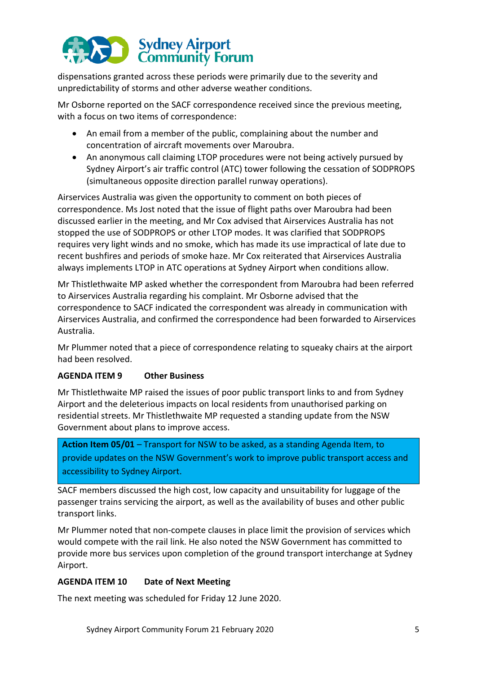# Sydney Airport<br>
Community Forum

dispensations granted across these periods were primarily due to the severity and unpredictability of storms and other adverse weather conditions.

Mr Osborne reported on the SACF correspondence received since the previous meeting, with a focus on two items of correspondence:

- An email from a member of the public, complaining about the number and concentration of aircraft movements over Maroubra.
- An anonymous call claiming LTOP procedures were not being actively pursued by Sydney Airport's air traffic control (ATC) tower following the cessation of SODPROPS (simultaneous opposite direction parallel runway operations).

Airservices Australia was given the opportunity to comment on both pieces of correspondence. Ms Jost noted that the issue of flight paths over Maroubra had been discussed earlier in the meeting, and Mr Cox advised that Airservices Australia has not stopped the use of SODPROPS or other LTOP modes. It was clarified that SODPROPS requires very light winds and no smoke, which has made its use impractical of late due to recent bushfires and periods of smoke haze. Mr Cox reiterated that Airservices Australia always implements LTOP in ATC operations at Sydney Airport when conditions allow.

Mr Thistlethwaite MP asked whether the correspondent from Maroubra had been referred to Airservices Australia regarding his complaint. Mr Osborne advised that the correspondence to SACF indicated the correspondent was already in communication with Airservices Australia, and confirmed the correspondence had been forwarded to Airservices Australia.

Mr Plummer noted that a piece of correspondence relating to squeaky chairs at the airport had been resolved.

# **AGENDA ITEM 9 Other Business**

Mr Thistlethwaite MP raised the issues of poor public transport links to and from Sydney Airport and the deleterious impacts on local residents from unauthorised parking on residential streets. Mr Thistlethwaite MP requested a standing update from the NSW Government about plans to improve access.

**Action Item 05/01** – Transport for NSW to be asked, as a standing Agenda Item, to provide updates on the NSW Government's work to improve public transport access and accessibility to Sydney Airport.

SACF members discussed the high cost, low capacity and unsuitability for luggage of the passenger trains servicing the airport, as well as the availability of buses and other public transport links.

Mr Plummer noted that non-compete clauses in place limit the provision of services which would compete with the rail link. He also noted the NSW Government has committed to provide more bus services upon completion of the ground transport interchange at Sydney Airport.

# **AGENDA ITEM 10 Date of Next Meeting**

The next meeting was scheduled for Friday 12 June 2020.